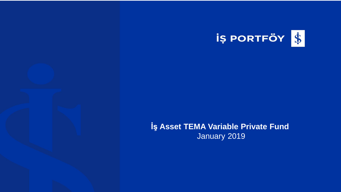

## İş Asset TEMA Variable Private Fund January 2019

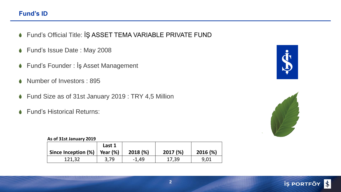## **Fund's ID**

- Fund's Official Title: İŞ ASSET TEMA VARIABLE PRIVATE FUND
- Fund's Issue Date : May 2008
- Fund's Founder : İş Asset Management
- Number of Investors : 895  $\bullet$
- Fund Size as of 31st January 2019 : TRY 4,5 Million
- Fund's Historical Returns:  $\bullet$

## **As of 31st January 2019**

|                     | Last 1      |         |         |         |
|---------------------|-------------|---------|---------|---------|
| Since Inception (%) | Year $(\%)$ | 2018(%) | 2017(%) | 2016(%) |
| 121,32              | 3.79        | $-1,49$ | 17,39   | 9,01    |





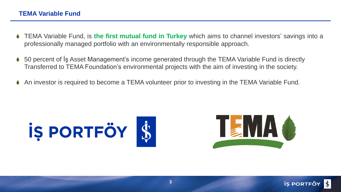- TEMA Variable Fund, is **the first mutual fund in Turkey** which aims to channel investors' savings into a professionally managed portfolio with an environmentally responsible approach.
- 50 percent of İş Asset Management's income generated through the TEMA Variable Fund is directly Transferred to TEMA Foundation's environmental projects with the aim of investing in the society.
- An investor is required to become a TEMA volunteer prior to investing in the TEMA Variable Fund.



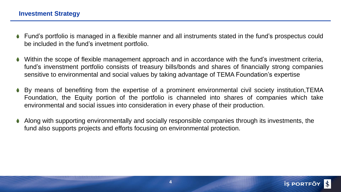- Fund's portfolio is managed in a flexible manner and all instruments stated in the fund's prospectus could be included in the fund's invetment portfolio.
- Within the scope of flexible management approach and in accordance with the fund's investment criteria, fund's invenstment portfolio consists of treasury bills/bonds and shares of financially strong companies sensitive to environmental and social values by taking advantage of TEMA Foundation's expertise
- By means of benefiting from the expertise of a prominent environmental civil society institution,TEMA Foundation, the Equity portion of the portfolio is channeled into shares of companies which take environmental and social issues into consideration in every phase of their production.
- Along with supporting environmentally and socially responsible companies through its investments, the fund also supports projects and efforts focusing on environmental protection.